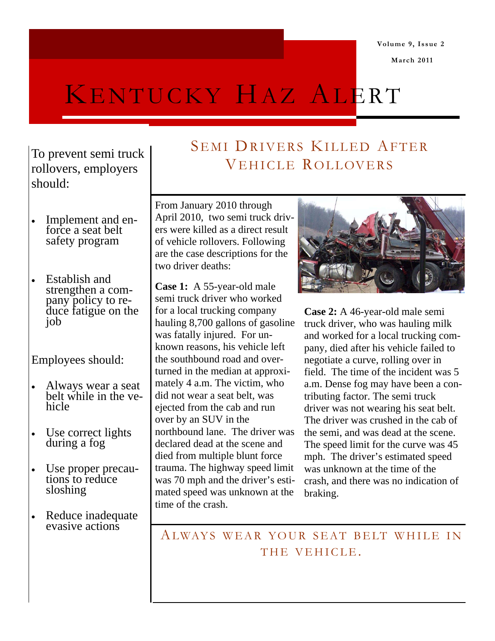**Volume 9, Issue 2** 

 **March 2011** 

# KENTUCKY HAZ ALERT

### To prevent semi truck rollovers, employers should:

- Implement and enforce a seat belt safety program
- Establish and strengthen a company policy to reduce fatigue on the job

Employees should:

- Always wear a seat belt while in the vehicle
- Use correct lights during a fog
- Use proper precautions to reduce sloshing
- Reduce inadequate evasive actions

## SEMI DRIVERS KILLED AFTER VEHICLE ROLLOVERS

From January 2010 through April 2010, two semi truck drivers were killed as a direct result of vehicle rollovers. Following are the case descriptions for the two driver deaths:

**Case 1:** A 55-year-old male semi truck driver who worked for a local trucking company hauling 8,700 gallons of gasoline was fatally injured. For unknown reasons, his vehicle left the southbound road and overturned in the median at approximately 4 a.m. The victim, who did not wear a seat belt, was ejected from the cab and run over by an SUV in the northbound lane. The driver was declared dead at the scene and died from multiple blunt force trauma. The highway speed limit was 70 mph and the driver's estimated speed was unknown at the time of the crash.



**Case 2:** A 46-year-old male semi truck driver, who was hauling milk and worked for a local trucking company, died after his vehicle failed to negotiate a curve, rolling over in field. The time of the incident was 5 a.m. Dense fog may have been a contributing factor. The semi truck driver was not wearing his seat belt. The driver was crushed in the cab of the semi, and was dead at the scene. The speed limit for the curve was 45 mph. The driver's estimated speed was unknown at the time of the crash, and there was no indication of braking.

ALWAYS WEAR YOUR SEAT BELT WHILE IN THE VEHICLE.